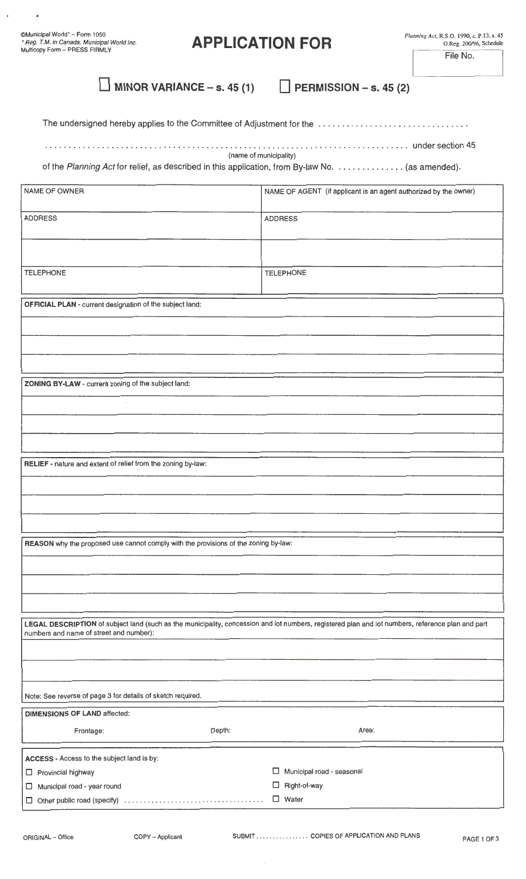| $\Box$ MINOR VARIANCE – s. 45 (1)<br>$\Box$ PERMISSION – s. 45 (2)<br>The undersigned hereby applies to the Committee of Adjustment for the<br>(name of municipality)<br>of the Planning Act for relief, as described in this application, from By-law No. (as amended).<br>NAME OF AGENT (if applicant is an agent authorized by the owner)<br><b>ADDRESS</b><br><b>TELEPHONE</b><br><b>TELEPHONE</b><br>OFFICIAL PLAN - current designation of the subject land:<br>ZONING BY-LAW - current zoning of the subject land:<br>RELIEF - nature and extent of relief from the zoning by-law:<br>REASON why the proposed use cannot comply with the provisions of the zoning by-law:<br>LEGAL DESCRIPTION of subject land (such as the municipality, concession and lot numbers, registered plan and lot numbers, reference plan and part<br>Note: See reverse of page 3 for details of sketch required.<br>Depth:<br>Area:<br>Frontage:<br>Municipal road - seasonal<br>□<br>Provincial highway<br>Right-of-way<br>⊔ | Comunicipal vvorid - Form 1050<br>* Reg. T.M. in Canada, Municipal World Inc.<br>Multicopy Form - PRESS FIRMLY | <b>APPLICATION FOR</b> | <i>Planning Act</i> , R.S.O. 1990, c. P.13, s. 45<br>O.Reg. 200/96, Schedule<br>File No. |
|-------------------------------------------------------------------------------------------------------------------------------------------------------------------------------------------------------------------------------------------------------------------------------------------------------------------------------------------------------------------------------------------------------------------------------------------------------------------------------------------------------------------------------------------------------------------------------------------------------------------------------------------------------------------------------------------------------------------------------------------------------------------------------------------------------------------------------------------------------------------------------------------------------------------------------------------------------------------------------------------------------------------|----------------------------------------------------------------------------------------------------------------|------------------------|------------------------------------------------------------------------------------------|
|                                                                                                                                                                                                                                                                                                                                                                                                                                                                                                                                                                                                                                                                                                                                                                                                                                                                                                                                                                                                                   |                                                                                                                |                        |                                                                                          |
|                                                                                                                                                                                                                                                                                                                                                                                                                                                                                                                                                                                                                                                                                                                                                                                                                                                                                                                                                                                                                   |                                                                                                                |                        |                                                                                          |
|                                                                                                                                                                                                                                                                                                                                                                                                                                                                                                                                                                                                                                                                                                                                                                                                                                                                                                                                                                                                                   |                                                                                                                |                        |                                                                                          |
|                                                                                                                                                                                                                                                                                                                                                                                                                                                                                                                                                                                                                                                                                                                                                                                                                                                                                                                                                                                                                   | NAME OF OWNER                                                                                                  |                        |                                                                                          |
|                                                                                                                                                                                                                                                                                                                                                                                                                                                                                                                                                                                                                                                                                                                                                                                                                                                                                                                                                                                                                   | <b>ADDRESS</b>                                                                                                 |                        |                                                                                          |
|                                                                                                                                                                                                                                                                                                                                                                                                                                                                                                                                                                                                                                                                                                                                                                                                                                                                                                                                                                                                                   |                                                                                                                |                        |                                                                                          |
|                                                                                                                                                                                                                                                                                                                                                                                                                                                                                                                                                                                                                                                                                                                                                                                                                                                                                                                                                                                                                   |                                                                                                                |                        |                                                                                          |
|                                                                                                                                                                                                                                                                                                                                                                                                                                                                                                                                                                                                                                                                                                                                                                                                                                                                                                                                                                                                                   |                                                                                                                |                        |                                                                                          |
|                                                                                                                                                                                                                                                                                                                                                                                                                                                                                                                                                                                                                                                                                                                                                                                                                                                                                                                                                                                                                   |                                                                                                                |                        |                                                                                          |
|                                                                                                                                                                                                                                                                                                                                                                                                                                                                                                                                                                                                                                                                                                                                                                                                                                                                                                                                                                                                                   |                                                                                                                |                        |                                                                                          |
|                                                                                                                                                                                                                                                                                                                                                                                                                                                                                                                                                                                                                                                                                                                                                                                                                                                                                                                                                                                                                   |                                                                                                                |                        |                                                                                          |
|                                                                                                                                                                                                                                                                                                                                                                                                                                                                                                                                                                                                                                                                                                                                                                                                                                                                                                                                                                                                                   |                                                                                                                |                        |                                                                                          |
|                                                                                                                                                                                                                                                                                                                                                                                                                                                                                                                                                                                                                                                                                                                                                                                                                                                                                                                                                                                                                   |                                                                                                                |                        |                                                                                          |
|                                                                                                                                                                                                                                                                                                                                                                                                                                                                                                                                                                                                                                                                                                                                                                                                                                                                                                                                                                                                                   |                                                                                                                |                        |                                                                                          |
|                                                                                                                                                                                                                                                                                                                                                                                                                                                                                                                                                                                                                                                                                                                                                                                                                                                                                                                                                                                                                   |                                                                                                                |                        |                                                                                          |
|                                                                                                                                                                                                                                                                                                                                                                                                                                                                                                                                                                                                                                                                                                                                                                                                                                                                                                                                                                                                                   |                                                                                                                |                        |                                                                                          |
|                                                                                                                                                                                                                                                                                                                                                                                                                                                                                                                                                                                                                                                                                                                                                                                                                                                                                                                                                                                                                   |                                                                                                                |                        |                                                                                          |
|                                                                                                                                                                                                                                                                                                                                                                                                                                                                                                                                                                                                                                                                                                                                                                                                                                                                                                                                                                                                                   |                                                                                                                |                        |                                                                                          |
|                                                                                                                                                                                                                                                                                                                                                                                                                                                                                                                                                                                                                                                                                                                                                                                                                                                                                                                                                                                                                   |                                                                                                                |                        |                                                                                          |
|                                                                                                                                                                                                                                                                                                                                                                                                                                                                                                                                                                                                                                                                                                                                                                                                                                                                                                                                                                                                                   |                                                                                                                |                        |                                                                                          |
|                                                                                                                                                                                                                                                                                                                                                                                                                                                                                                                                                                                                                                                                                                                                                                                                                                                                                                                                                                                                                   | numbers and name of street and number):                                                                        |                        |                                                                                          |
|                                                                                                                                                                                                                                                                                                                                                                                                                                                                                                                                                                                                                                                                                                                                                                                                                                                                                                                                                                                                                   |                                                                                                                |                        |                                                                                          |
|                                                                                                                                                                                                                                                                                                                                                                                                                                                                                                                                                                                                                                                                                                                                                                                                                                                                                                                                                                                                                   |                                                                                                                |                        |                                                                                          |
|                                                                                                                                                                                                                                                                                                                                                                                                                                                                                                                                                                                                                                                                                                                                                                                                                                                                                                                                                                                                                   | <b>DIMENSIONS OF LAND affected:</b>                                                                            |                        |                                                                                          |
|                                                                                                                                                                                                                                                                                                                                                                                                                                                                                                                                                                                                                                                                                                                                                                                                                                                                                                                                                                                                                   |                                                                                                                |                        |                                                                                          |
|                                                                                                                                                                                                                                                                                                                                                                                                                                                                                                                                                                                                                                                                                                                                                                                                                                                                                                                                                                                                                   | ACCESS - Access to the subject land is by:<br>ப                                                                |                        |                                                                                          |
| $\Box$ Water                                                                                                                                                                                                                                                                                                                                                                                                                                                                                                                                                                                                                                                                                                                                                                                                                                                                                                                                                                                                      | $\Box$ Municipal road - year round                                                                             |                        |                                                                                          |

@Municipal World'- Form 1050

 $\ddot{\phantom{a}}$ 

 $\ddot{\phantom{0}}$ 

Planning Act, R.S.O. 1990, c. P.13, s. 45<br>O.Reg. 200/96, Schedule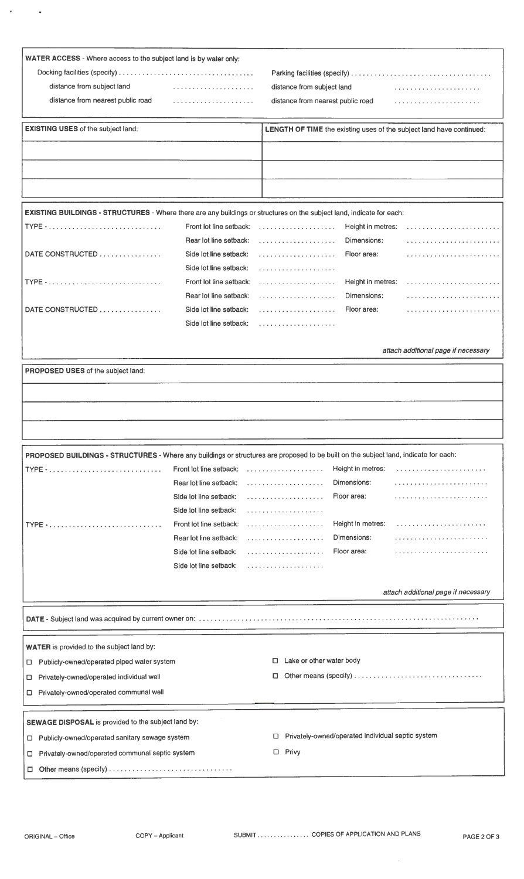| WATER ACCESS - Where access to the subject land is by water only:                                                                    |                         |                                                                      |                                     |
|--------------------------------------------------------------------------------------------------------------------------------------|-------------------------|----------------------------------------------------------------------|-------------------------------------|
|                                                                                                                                      |                         |                                                                      |                                     |
| distance from subject land                                                                                                           |                         |                                                                      |                                     |
| distance from nearest public road                                                                                                    |                         | distance from subject land                                           |                                     |
|                                                                                                                                      |                         | distance from nearest public road                                    |                                     |
| <b>EXISTING USES of the subject land:</b>                                                                                            |                         | LENGTH OF TIME the existing uses of the subject land have continued: |                                     |
|                                                                                                                                      |                         |                                                                      |                                     |
|                                                                                                                                      |                         |                                                                      |                                     |
|                                                                                                                                      |                         |                                                                      |                                     |
|                                                                                                                                      |                         |                                                                      |                                     |
| EXISTING BUILDINGS - STRUCTURES - Where there are any buildings or structures on the subject land, indicate for each:                |                         |                                                                      |                                     |
|                                                                                                                                      | Front lot line setback: | Height in metres:<br>.                                               |                                     |
|                                                                                                                                      | Rear lot line setback:  | Dimensions:                                                          |                                     |
| DATE CONSTRUCTED                                                                                                                     | Side lot line setback:  | Floor area:                                                          |                                     |
|                                                                                                                                      | Side lot line setback:  | .                                                                    |                                     |
|                                                                                                                                      | Front lot line setback: | Height in metres:                                                    |                                     |
|                                                                                                                                      | Rear lot line setback:  | Dimensions:                                                          |                                     |
| DATE CONSTRUCTED                                                                                                                     | Side lot line setback:  | .<br>Floor area:                                                     |                                     |
|                                                                                                                                      | Side lot line setback:  |                                                                      |                                     |
|                                                                                                                                      |                         |                                                                      |                                     |
|                                                                                                                                      |                         |                                                                      | attach additional page if necessary |
| PROPOSED USES of the subject land:                                                                                                   |                         |                                                                      |                                     |
|                                                                                                                                      |                         |                                                                      |                                     |
|                                                                                                                                      |                         |                                                                      |                                     |
|                                                                                                                                      |                         |                                                                      |                                     |
|                                                                                                                                      |                         |                                                                      |                                     |
|                                                                                                                                      |                         |                                                                      |                                     |
| PROPOSED BUILDINGS - STRUCTURES - Where any buildings or structures are proposed to be built on the subject land, indicate for each: |                         |                                                                      |                                     |
|                                                                                                                                      | Front lot line setback: | Height in metres:<br>.                                               |                                     |
|                                                                                                                                      | Rear lot line setback:  | Dimensions:                                                          |                                     |
|                                                                                                                                      | Side lot line setback:  | Floor area:                                                          |                                     |
|                                                                                                                                      | Side lot line setback:  |                                                                      |                                     |
|                                                                                                                                      | Front lot line setback: | Height in metres:                                                    |                                     |
|                                                                                                                                      | Rear lot line setback:  | Dimensions:                                                          |                                     |
|                                                                                                                                      | Side lot line setback:  | Floor area:                                                          |                                     |
|                                                                                                                                      | Side lot line setback:  |                                                                      |                                     |
|                                                                                                                                      |                         |                                                                      |                                     |
|                                                                                                                                      |                         |                                                                      | attach additional page if necessary |
|                                                                                                                                      |                         |                                                                      |                                     |
|                                                                                                                                      |                         |                                                                      |                                     |
|                                                                                                                                      |                         |                                                                      |                                     |
| WATER is provided to the subject land by:                                                                                            |                         |                                                                      |                                     |
|                                                                                                                                      |                         |                                                                      |                                     |
| Publicly-owned/operated piped water system<br>0                                                                                      |                         | Lake or other water body<br>0                                        |                                     |
| Privately-owned/operated individual well<br>□                                                                                        |                         |                                                                      |                                     |
| Privately-owned/operated communal well<br>□                                                                                          |                         |                                                                      |                                     |
|                                                                                                                                      |                         |                                                                      |                                     |
| SEWAGE DISPOSAL is provided to the subject land by:                                                                                  |                         |                                                                      |                                     |
| Publicly-owned/operated sanitary sewage system<br>□                                                                                  |                         | Privately-owned/operated individual septic system<br>□               |                                     |
| Privately-owned/operated communal septic system<br>0                                                                                 |                         | $\Box$ Privy                                                         |                                     |
| 0                                                                                                                                    |                         |                                                                      |                                     |

 $\mathcal{A}^{\pm}$ 

 $\mathcal{A}$ 

 $\hat{\mathcal{A}}$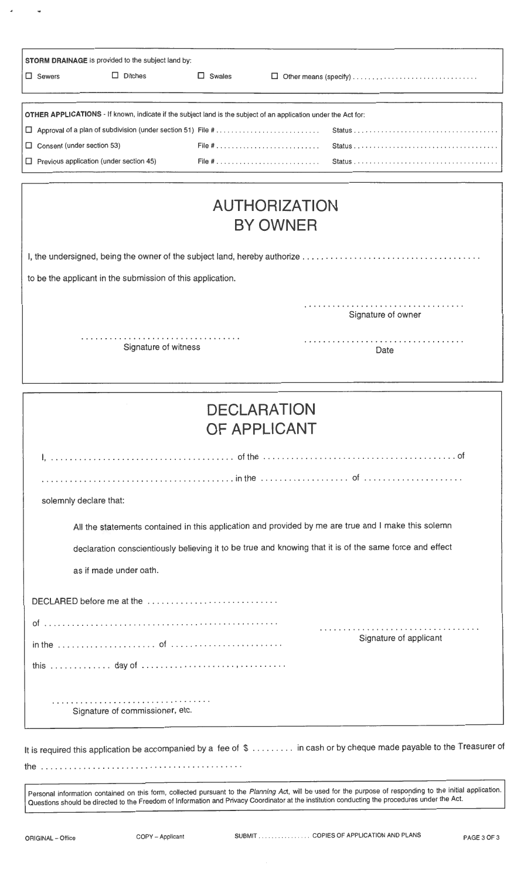| STORM DRAINAGE is provided to the subject land by:                                                              |                      |                                                                                                         |
|-----------------------------------------------------------------------------------------------------------------|----------------------|---------------------------------------------------------------------------------------------------------|
| $\Box$ Ditches<br>$\Box$ Sewers                                                                                 | $\Box$ Swales        |                                                                                                         |
| OTHER APPLICATIONS - If known, indicate if the subject land is the subject of an application under the Act for: |                      |                                                                                                         |
| ⊔                                                                                                               |                      |                                                                                                         |
| Consent (under section 53)<br>□                                                                                 |                      |                                                                                                         |
| Previous application (under section 45)<br>⊔                                                                    |                      |                                                                                                         |
|                                                                                                                 |                      | <b>AUTHORIZATION</b>                                                                                    |
|                                                                                                                 |                      | <b>BY OWNER</b>                                                                                         |
|                                                                                                                 |                      |                                                                                                         |
| to be the applicant in the submission of this application.                                                      |                      |                                                                                                         |
|                                                                                                                 |                      | Signature of owner                                                                                      |
|                                                                                                                 | Signature of witness | Date                                                                                                    |
|                                                                                                                 |                      | <b>DECLARATION</b><br>OF APPLICANT                                                                      |
|                                                                                                                 |                      |                                                                                                         |
|                                                                                                                 |                      |                                                                                                         |
| solemnly declare that:                                                                                          |                      |                                                                                                         |
|                                                                                                                 |                      | All the statements contained in this application and provided by me are true and I make this solemn     |
|                                                                                                                 |                      | declaration conscientiously believing it to be true and knowing that it is of the same force and effect |
| as if made under oath.                                                                                          |                      |                                                                                                         |
| DECLARED before me at the                                                                                       |                      |                                                                                                         |
|                                                                                                                 |                      |                                                                                                         |
|                                                                                                                 |                      | Signature of applicant                                                                                  |
|                                                                                                                 |                      |                                                                                                         |
| Signature of commissioner, etc.                                                                                 |                      |                                                                                                         |
|                                                                                                                 |                      |                                                                                                         |

It is required this application be accompanied by a fee of \$ ......... in cash or by cheque made payable to the Treasurer of the ..... .. ... . ............ . .. .... .... . ... . ... .

Personal information contained on this form, collected pursuant to the Planning Act, will be used for the purpose of responding to the initial application. Questions should be directed to the Freedom of Information and Privacy Coordinator at the institution conducting the procedures under the Act.